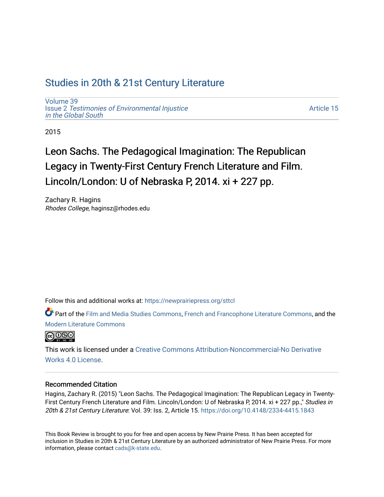## [Studies in 20th & 21st Century Literature](https://newprairiepress.org/sttcl)

[Volume 39](https://newprairiepress.org/sttcl/vol39) Issue 2 [Testimonies of Environmental Injustice](https://newprairiepress.org/sttcl/vol39/iss2) [in the Global South](https://newprairiepress.org/sttcl/vol39/iss2)

[Article 15](https://newprairiepress.org/sttcl/vol39/iss2/15) 

2015

# Leon Sachs. The Pedagogical Imagination: The Republican Legacy in Twenty-First Century French Literature and Film. Lincoln/London: U of Nebraska P, 2014. xi + 227 pp.

Zachary R. Hagins Rhodes College, haginsz@rhodes.edu

Follow this and additional works at: [https://newprairiepress.org/sttcl](https://newprairiepress.org/sttcl?utm_source=newprairiepress.org%2Fsttcl%2Fvol39%2Fiss2%2F15&utm_medium=PDF&utm_campaign=PDFCoverPages) 

Part of the [Film and Media Studies Commons,](http://network.bepress.com/hgg/discipline/563?utm_source=newprairiepress.org%2Fsttcl%2Fvol39%2Fiss2%2F15&utm_medium=PDF&utm_campaign=PDFCoverPages) [French and Francophone Literature Commons,](http://network.bepress.com/hgg/discipline/465?utm_source=newprairiepress.org%2Fsttcl%2Fvol39%2Fiss2%2F15&utm_medium=PDF&utm_campaign=PDFCoverPages) and the [Modern Literature Commons](http://network.bepress.com/hgg/discipline/1050?utm_source=newprairiepress.org%2Fsttcl%2Fvol39%2Fiss2%2F15&utm_medium=PDF&utm_campaign=PDFCoverPages) 



This work is licensed under a [Creative Commons Attribution-Noncommercial-No Derivative](https://creativecommons.org/licenses/by-nc-nd/4.0/)  [Works 4.0 License](https://creativecommons.org/licenses/by-nc-nd/4.0/).

#### Recommended Citation

Hagins, Zachary R. (2015) "Leon Sachs. The Pedagogical Imagination: The Republican Legacy in Twenty-First Century French Literature and Film. Lincoln/London: U of Nebraska P, 2014. xi + 227 pp.," Studies in 20th & 21st Century Literature: Vol. 39: Iss. 2, Article 15. <https://doi.org/10.4148/2334-4415.1843>

This Book Review is brought to you for free and open access by New Prairie Press. It has been accepted for inclusion in Studies in 20th & 21st Century Literature by an authorized administrator of New Prairie Press. For more information, please contact [cads@k-state.edu](mailto:cads@k-state.edu).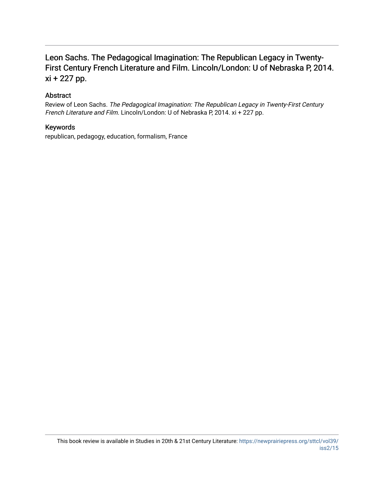## Leon Sachs. The Pedagogical Imagination: The Republican Legacy in Twenty-First Century French Literature and Film. Lincoln/London: U of Nebraska P, 2014. xi + 227 pp.

## Abstract

Review of Leon Sachs. The Pedagogical Imagination: The Republican Legacy in Twenty-First Century French Literature and Film. Lincoln/London: U of Nebraska P, 2014. xi + 227 pp.

### Keywords

republican, pedagogy, education, formalism, France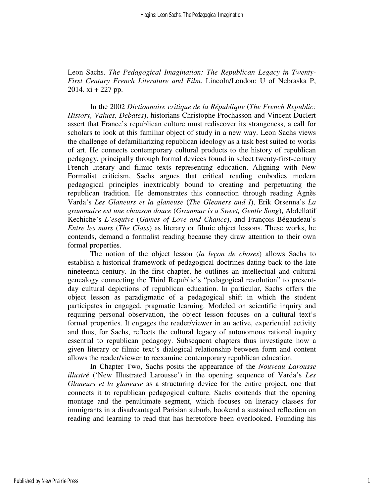Leon Sachs. *The Pedagogical Imagination: The Republican Legacy in Twenty-First Century French Literature and Film*. Lincoln/London: U of Nebraska P, 2014.  $xi + 227$  pp.

 In the 2002 *Dictionnaire critique de la République* (*The French Republic: History, Values, Debates*), historians Christophe Prochasson and Vincent Duclert assert that France's republican culture must rediscover its strangeness, a call for scholars to look at this familiar object of study in a new way. Leon Sachs views the challenge of defamiliarizing republican ideology as a task best suited to works of art. He connects contemporary cultural products to the history of republican pedagogy, principally through formal devices found in select twenty-first-century French literary and filmic texts representing education. Aligning with New Formalist criticism, Sachs argues that critical reading embodies modern pedagogical principles inextricably bound to creating and perpetuating the republican tradition. He demonstrates this connection through reading Agnès Varda's *Les Glaneurs et la glaneuse* (*The Gleaners and I*), Erik Orsenna's *La grammaire est une chanson douce* (*Grammar is a Sweet, Gentle Song*), Abdellatif Kechiche's *L'esquive* (*Games of Love and Chance*), and François Bégaudeau's *Entre les murs* (*The Class*) as literary or filmic object lessons. These works, he contends, demand a formalist reading because they draw attention to their own formal properties.

 The notion of the object lesson (*la leçon de choses*) allows Sachs to establish a historical framework of pedagogical doctrines dating back to the late nineteenth century. In the first chapter, he outlines an intellectual and cultural genealogy connecting the Third Republic's "pedagogical revolution" to presentday cultural depictions of republican education. In particular, Sachs offers the object lesson as paradigmatic of a pedagogical shift in which the student participates in engaged, pragmatic learning. Modeled on scientific inquiry and requiring personal observation, the object lesson focuses on a cultural text's formal properties. It engages the reader/viewer in an active, experiential activity and thus, for Sachs, reflects the cultural legacy of autonomous rational inquiry essential to republican pedagogy. Subsequent chapters thus investigate how a given literary or filmic text's dialogical relationship between form and content allows the reader/viewer to reexamine contemporary republican education.

 In Chapter Two, Sachs posits the appearance of the *Nouveau Larousse illustré* ('New Illustrated Larousse') in the opening sequence of Varda's *Les Glaneurs et la glaneuse* as a structuring device for the entire project, one that connects it to republican pedagogical culture. Sachs contends that the opening montage and the penultimate segment, which focuses on literacy classes for immigrants in a disadvantaged Parisian suburb, bookend a sustained reflection on reading and learning to read that has heretofore been overlooked. Founding his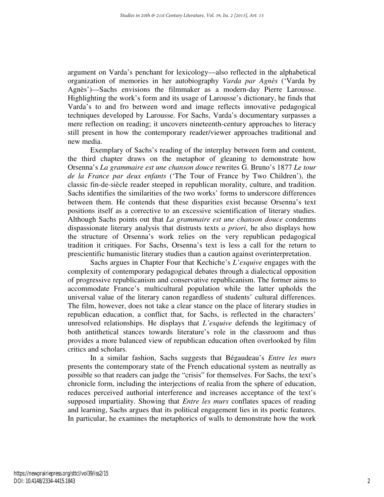argument on Varda's penchant for lexicology—also reflected in the alphabetical organization of memories in her autobiography *Varda par Agnès* ('Varda by Agnès')—Sachs envisions the filmmaker as a modern-day Pierre Larousse. Highlighting the work's form and its usage of Larousse's dictionary, he finds that Varda's to and fro between word and image reflects innovative pedagogical techniques developed by Larousse. For Sachs, Varda's documentary surpasses a mere reflection on reading; it uncovers nineteenth-century approaches to literacy still present in how the contemporary reader/viewer approaches traditional and new media.

 Exemplary of Sachs's reading of the interplay between form and content, the third chapter draws on the metaphor of gleaning to demonstrate how Orsenna's *La grammaire est une chanson douce* rewrites G. Bruno's 1877 *Le tour de la France par deux enfants* ('The Tour of France by Two Children'), the classic fin-de-siècle reader steeped in republican morality, culture, and tradition. Sachs identifies the similarities of the two works' forms to underscore differences between them. He contends that these disparities exist because Orsenna's text positions itself as a corrective to an excessive scientification of literary studies. Although Sachs points out that *La grammaire est une chanson douce* condemns dispassionate literary analysis that distrusts texts *a priori*, he also displays how the structure of Orsenna's work relies on the very republican pedagogical tradition it critiques. For Sachs, Orsenna's text is less a call for the return to prescientific humanistic literary studies than a caution against overinterpretation.

 Sachs argues in Chapter Four that Kechiche's *L'esquive* engages with the complexity of contemporary pedagogical debates through a dialectical opposition of progressive republicanism and conservative republicanism. The former aims to accommodate France's multicultural population while the latter upholds the universal value of the literary canon regardless of students' cultural differences. The film, however, does not take a clear stance on the place of literary studies in republican education, a conflict that, for Sachs, is reflected in the characters' unresolved relationships. He displays that *L'esquive* defends the legitimacy of both antithetical stances towards literature's role in the classroom and thus provides a more balanced view of republican education often overlooked by film critics and scholars.

 In a similar fashion, Sachs suggests that Bégaudeau's *Entre les murs* presents the contemporary state of the French educational system as neutrally as possible so that readers can judge the "crisis" for themselves. For Sachs, the text's chronicle form, including the interjections of realia from the sphere of education, reduces perceived authorial interference and increases acceptance of the text's supposed impartiality. Showing that *Entre les murs* conflates spaces of reading and learning, Sachs argues that its political engagement lies in its poetic features. In particular, he examines the metaphorics of walls to demonstrate how the work